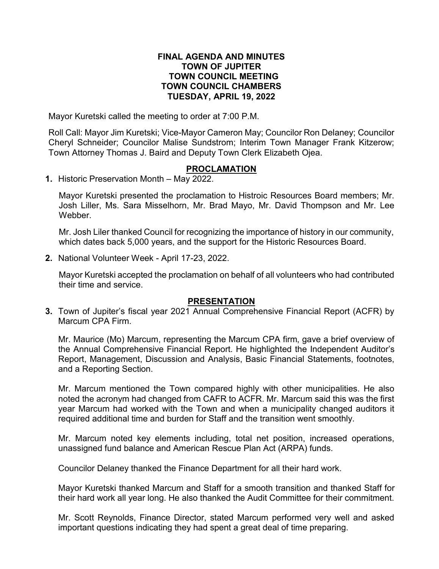#### **FINAL AGENDA AND MINUTES TOWN OF JUPITER TOWN COUNCIL MEETING TOWN COUNCIL CHAMBERS TUESDAY, APRIL 19, 2022**

Mayor Kuretski called the meeting to order at 7:00 P.M.

Roll Call: Mayor Jim Kuretski; Vice-Mayor Cameron May; Councilor Ron Delaney; Councilor Cheryl Schneider; Councilor Malise Sundstrom; Interim Town Manager Frank Kitzerow; Town Attorney Thomas J. Baird and Deputy Town Clerk Elizabeth Ojea.

## **PROCLAMATION**

**1.** Historic Preservation Month – May 2022.

Mayor Kuretski presented the proclamation to Histroic Resources Board members; Mr. Josh Liller, Ms. Sara Misselhorn, Mr. Brad Mayo, Mr. David Thompson and Mr. Lee **Webber** 

Mr. Josh Liler thanked Council for recognizing the importance of history in our community, which dates back 5,000 years, and the support for the Historic Resources Board.

**2.** National Volunteer Week - April 17-23, 2022.

Mayor Kuretski accepted the proclamation on behalf of all volunteers who had contributed their time and service.

### **PRESENTATION**

**3.** Town of Jupiter's fiscal year 2021 Annual Comprehensive Financial Report (ACFR) by Marcum CPA Firm.

Mr. Maurice (Mo) Marcum, representing the Marcum CPA firm, gave a brief overview of the Annual Comprehensive Financial Report. He highlighted the Independent Auditor's Report, Management, Discussion and Analysis, Basic Financial Statements, footnotes, and a Reporting Section.

Mr. Marcum mentioned the Town compared highly with other municipalities. He also noted the acronym had changed from CAFR to ACFR. Mr. Marcum said this was the first year Marcum had worked with the Town and when a municipality changed auditors it required additional time and burden for Staff and the transition went smoothly.

Mr. Marcum noted key elements including, total net position, increased operations, unassigned fund balance and American Rescue Plan Act (ARPA) funds.

Councilor Delaney thanked the Finance Department for all their hard work.

Mayor Kuretski thanked Marcum and Staff for a smooth transition and thanked Staff for their hard work all year long. He also thanked the Audit Committee for their commitment.

Mr. Scott Reynolds, Finance Director, stated Marcum performed very well and asked important questions indicating they had spent a great deal of time preparing.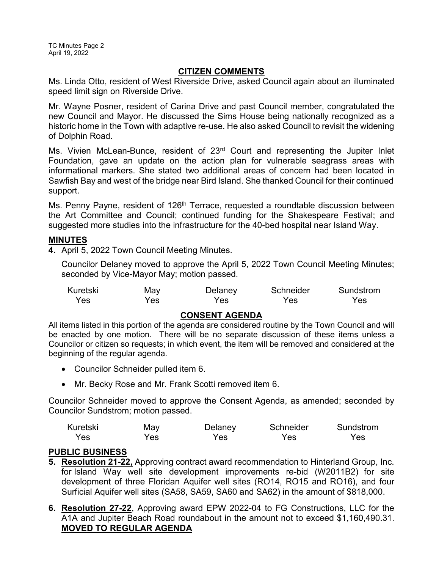## **CITIZEN COMMENTS**

Ms. Linda Otto, resident of West Riverside Drive, asked Council again about an illuminated speed limit sign on Riverside Drive.

Mr. Wayne Posner, resident of Carina Drive and past Council member, congratulated the new Council and Mayor. He discussed the Sims House being nationally recognized as a historic home in the Town with adaptive re-use. He also asked Council to revisit the widening of Dolphin Road.

Ms. Vivien McLean-Bunce, resident of 23<sup>rd</sup> Court and representing the Jupiter Inlet Foundation, gave an update on the action plan for vulnerable seagrass areas with informational markers. She stated two additional areas of concern had been located in Sawfish Bay and west of the bridge near Bird Island. She thanked Council for their continued support.

Ms. Penny Payne, resident of 126<sup>th</sup> Terrace, requested a roundtable discussion between the Art Committee and Council; continued funding for the Shakespeare Festival; and suggested more studies into the infrastructure for the 40-bed hospital near Island Way.

## **MINUTES**

**4.** April 5, 2022 Town Council Meeting Minutes.

Councilor Delaney moved to approve the April 5, 2022 Town Council Meeting Minutes; seconded by Vice-Mayor May; motion passed.

| Kuretski | May  | Delaney | Schneider | Sundstrom |
|----------|------|---------|-----------|-----------|
| Yes      | Yes. | Yes     | Yes       | Yes       |

## **CONSENT AGENDA**

All items listed in this portion of the agenda are considered routine by the Town Council and will be enacted by one motion. There will be no separate discussion of these items unless a Councilor or citizen so requests; in which event, the item will be removed and considered at the beginning of the regular agenda.

- · Councilor Schneider pulled item 6.
- · Mr. Becky Rose and Mr. Frank Scotti removed item 6.

Councilor Schneider moved to approve the Consent Agenda, as amended; seconded by Councilor Sundstrom; motion passed.

| Kuretski | May | Delaney | Schneider | Sundstrom |
|----------|-----|---------|-----------|-----------|
| Yes      | Yes | Yes     | Yes       | Yes       |

# **PUBLIC BUSINESS**

- **5. Resolution 21-22,** Approving contract award recommendation to Hinterland Group, Inc. for Island Way well site development improvements re-bid (W2011B2) for site development of three Floridan Aquifer well sites (RO14, RO15 and RO16), and four Surficial Aquifer well sites (SA58, SA59, SA60 and SA62) in the amount of \$818,000.
- **6. Resolution 27-22**, Approving award EPW 2022-04 to FG Constructions, LLC for the A1A and Jupiter Beach Road roundabout in the amount not to exceed \$1,160,490.31. **MOVED TO REGULAR AGENDA**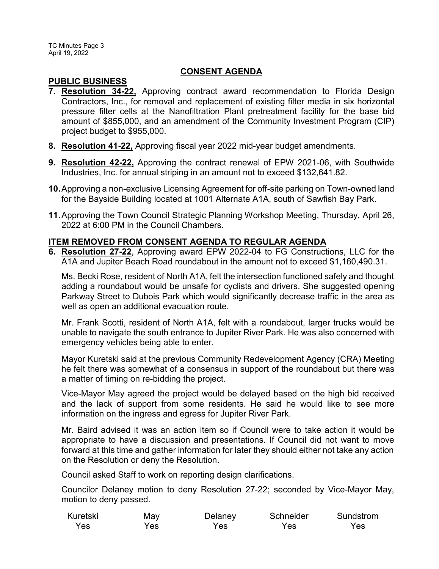### **CONSENT AGENDA**

## **PUBLIC BUSINESS**

- **7. Resolution 34-22,** Approving contract award recommendation to Florida Design Contractors, Inc., for removal and replacement of existing filter media in six horizontal pressure filter cells at the Nanofiltration Plant pretreatment facility for the base bid amount of \$855,000, and an amendment of the Community Investment Program (CIP) project budget to \$955,000.
- **8. Resolution 41-22,** Approving fiscal year 2022 mid-year budget amendments.
- **9. Resolution 42-22,** Approving the contract renewal of EPW 2021-06, with Southwide Industries, Inc. for annual striping in an amount not to exceed \$132,641.82.
- **10.**Approving a non-exclusive Licensing Agreement for off-site parking on Town-owned land for the Bayside Building located at 1001 Alternate A1A, south of Sawfish Bay Park.
- **11.**Approving the Town Council Strategic Planning Workshop Meeting, Thursday, April 26, 2022 at 6:00 PM in the Council Chambers.

## **ITEM REMOVED FROM CONSENT AGENDA TO REGULAR AGENDA**

**6. Resolution 27-22**, Approving award EPW 2022-04 to FG Constructions, LLC for the A1A and Jupiter Beach Road roundabout in the amount not to exceed \$1,160,490.31.

Ms. Becki Rose, resident of North A1A, felt the intersection functioned safely and thought adding a roundabout would be unsafe for cyclists and drivers. She suggested opening Parkway Street to Dubois Park which would significantly decrease traffic in the area as well as open an additional evacuation route.

Mr. Frank Scotti, resident of North A1A, felt with a roundabout, larger trucks would be unable to navigate the south entrance to Jupiter River Park. He was also concerned with emergency vehicles being able to enter.

Mayor Kuretski said at the previous Community Redevelopment Agency (CRA) Meeting he felt there was somewhat of a consensus in support of the roundabout but there was a matter of timing on re-bidding the project.

Vice-Mayor May agreed the project would be delayed based on the high bid received and the lack of support from some residents. He said he would like to see more information on the ingress and egress for Jupiter River Park.

Mr. Baird advised it was an action item so if Council were to take action it would be appropriate to have a discussion and presentations. If Council did not want to move forward at this time and gather information for later they should either not take any action on the Resolution or deny the Resolution.

Council asked Staff to work on reporting design clarifications.

Councilor Delaney motion to deny Resolution 27-22; seconded by Vice-Mayor May, motion to deny passed.

| Kuretski | May | Delaney    | Schneider | Sundstrom |
|----------|-----|------------|-----------|-----------|
| Yes      | Yes | <b>Yes</b> | Yes       | Yes       |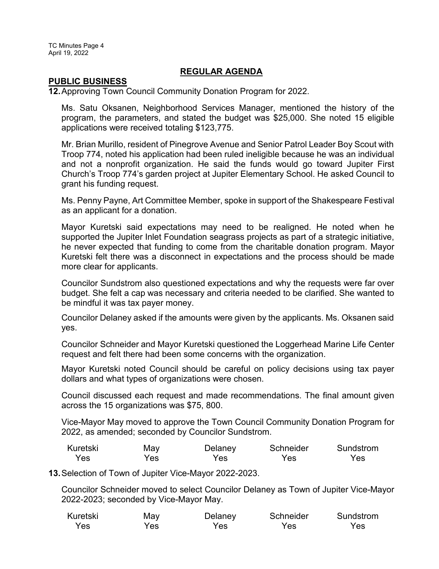TC Minutes Page 4 April 19, 2022

#### **REGULAR AGENDA**

#### **PUBLIC BUSINESS**

**12.**Approving Town Council Community Donation Program for 2022.

Ms. Satu Oksanen, Neighborhood Services Manager, mentioned the history of the program, the parameters, and stated the budget was \$25,000. She noted 15 eligible applications were received totaling \$123,775.

Mr. Brian Murillo, resident of Pinegrove Avenue and Senior Patrol Leader Boy Scout with Troop 774, noted his application had been ruled ineligible because he was an individual and not a nonprofit organization. He said the funds would go toward Jupiter First Church's Troop 774's garden project at Jupiter Elementary School. He asked Council to grant his funding request.

Ms. Penny Payne, Art Committee Member, spoke in support of the Shakespeare Festival as an applicant for a donation.

Mayor Kuretski said expectations may need to be realigned. He noted when he supported the Jupiter Inlet Foundation seagrass projects as part of a strategic initiative, he never expected that funding to come from the charitable donation program. Mayor Kuretski felt there was a disconnect in expectations and the process should be made more clear for applicants.

Councilor Sundstrom also questioned expectations and why the requests were far over budget. She felt a cap was necessary and criteria needed to be clarified. She wanted to be mindful it was tax payer money.

Councilor Delaney asked if the amounts were given by the applicants. Ms. Oksanen said yes.

Councilor Schneider and Mayor Kuretski questioned the Loggerhead Marine Life Center request and felt there had been some concerns with the organization.

Mayor Kuretski noted Council should be careful on policy decisions using tax payer dollars and what types of organizations were chosen.

Council discussed each request and made recommendations. The final amount given across the 15 organizations was \$75, 800.

Vice-Mayor May moved to approve the Town Council Community Donation Program for 2022, as amended; seconded by Councilor Sundstrom.

| Kuretski | May  | Delaney | Schneider | Sundstrom |
|----------|------|---------|-----------|-----------|
| Yes      | Yes. | Yes     | Yes       | Yes       |

**13.**Selection of Town of Jupiter Vice-Mayor 2022-2023.

Councilor Schneider moved to select Councilor Delaney as Town of Jupiter Vice-Mayor 2022-2023; seconded by Vice-Mayor May.

| Kuretski | May | Delaney | Schneider | Sundstrom |
|----------|-----|---------|-----------|-----------|
| Yes      | Yes | Yes     | Yes       | Yes       |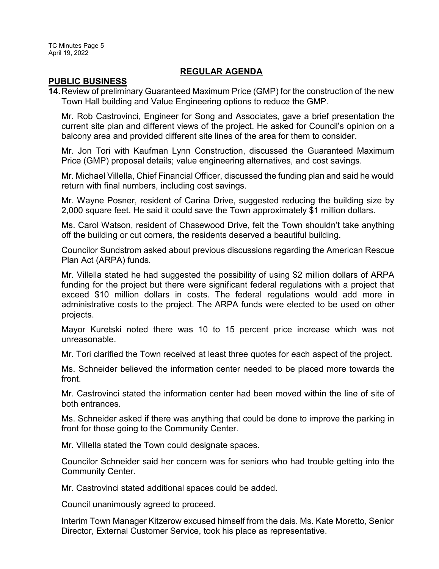TC Minutes Page 5 April 19, 2022

#### **REGULAR AGENDA**

#### **PUBLIC BUSINESS**

**14.**Review of preliminary Guaranteed Maximum Price (GMP) for the construction of the new Town Hall building and Value Engineering options to reduce the GMP.

Mr. Rob Castrovinci, Engineer for Song and Associates, gave a brief presentation the current site plan and different views of the project. He asked for Council's opinion on a balcony area and provided different site lines of the area for them to consider.

Mr. Jon Tori with Kaufman Lynn Construction, discussed the Guaranteed Maximum Price (GMP) proposal details; value engineering alternatives, and cost savings.

Mr. Michael Villella, Chief Financial Officer, discussed the funding plan and said he would return with final numbers, including cost savings.

Mr. Wayne Posner, resident of Carina Drive, suggested reducing the building size by 2,000 square feet. He said it could save the Town approximately \$1 million dollars.

Ms. Carol Watson, resident of Chasewood Drive, felt the Town shouldn't take anything off the building or cut corners, the residents deserved a beautiful building.

Councilor Sundstrom asked about previous discussions regarding the American Rescue Plan Act (ARPA) funds.

Mr. Villella stated he had suggested the possibility of using \$2 million dollars of ARPA funding for the project but there were significant federal regulations with a project that exceed \$10 million dollars in costs. The federal regulations would add more in administrative costs to the project. The ARPA funds were elected to be used on other projects.

Mayor Kuretski noted there was 10 to 15 percent price increase which was not unreasonable.

Mr. Tori clarified the Town received at least three quotes for each aspect of the project.

Ms. Schneider believed the information center needed to be placed more towards the front.

Mr. Castrovinci stated the information center had been moved within the line of site of both entrances.

Ms. Schneider asked if there was anything that could be done to improve the parking in front for those going to the Community Center.

Mr. Villella stated the Town could designate spaces.

Councilor Schneider said her concern was for seniors who had trouble getting into the Community Center.

Mr. Castrovinci stated additional spaces could be added.

Council unanimously agreed to proceed.

Interim Town Manager Kitzerow excused himself from the dais. Ms. Kate Moretto, Senior Director, External Customer Service, took his place as representative.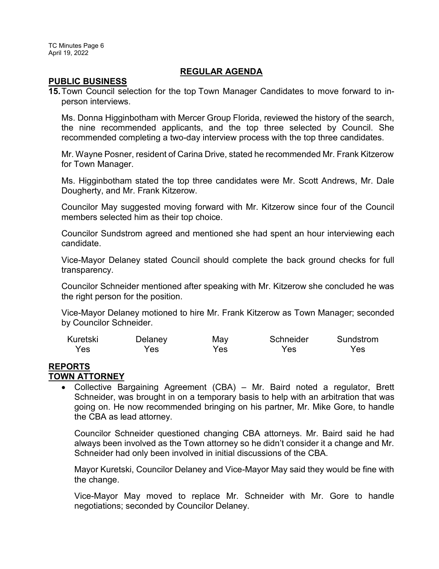TC Minutes Page 6 April 19, 2022

#### **REGULAR AGENDA**

#### **PUBLIC BUSINESS**

**15.**Town Council selection for the top Town Manager Candidates to move forward to inperson interviews.

Ms. Donna Higginbotham with Mercer Group Florida, reviewed the history of the search, the nine recommended applicants, and the top three selected by Council. She recommended completing a two-day interview process with the top three candidates.

Mr. Wayne Posner, resident of Carina Drive, stated he recommended Mr. Frank Kitzerow for Town Manager.

Ms. Higginbotham stated the top three candidates were Mr. Scott Andrews, Mr. Dale Dougherty, and Mr. Frank Kitzerow.

Councilor May suggested moving forward with Mr. Kitzerow since four of the Council members selected him as their top choice.

Councilor Sundstrom agreed and mentioned she had spent an hour interviewing each candidate.

Vice-Mayor Delaney stated Council should complete the back ground checks for full transparency.

Councilor Schneider mentioned after speaking with Mr. Kitzerow she concluded he was the right person for the position.

Vice-Mayor Delaney motioned to hire Mr. Frank Kitzerow as Town Manager; seconded by Councilor Schneider.

| Kuretski | Delaney | May | Schneider | Sundstrom |
|----------|---------|-----|-----------|-----------|
| Yes      | Yes     | Yes | Yes       | Yes       |

#### **REPORTS TOWN ATTORNEY**

· Collective Bargaining Agreement (CBA) – Mr. Baird noted a regulator, Brett Schneider, was brought in on a temporary basis to help with an arbitration that was going on. He now recommended bringing on his partner, Mr. Mike Gore, to handle the CBA as lead attorney.

Councilor Schneider questioned changing CBA attorneys. Mr. Baird said he had always been involved as the Town attorney so he didn't consider it a change and Mr. Schneider had only been involved in initial discussions of the CBA.

Mayor Kuretski, Councilor Delaney and Vice-Mayor May said they would be fine with the change.

Vice-Mayor May moved to replace Mr. Schneider with Mr. Gore to handle negotiations; seconded by Councilor Delaney.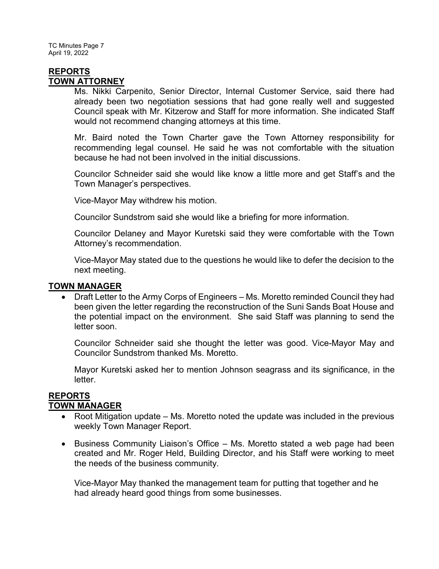TC Minutes Page 7 April 19, 2022

### **REPORTS TOWN ATTORNEY**

Ms. Nikki Carpenito, Senior Director, Internal Customer Service, said there had already been two negotiation sessions that had gone really well and suggested Council speak with Mr. Kitzerow and Staff for more information. She indicated Staff would not recommend changing attorneys at this time.

Mr. Baird noted the Town Charter gave the Town Attorney responsibility for recommending legal counsel. He said he was not comfortable with the situation because he had not been involved in the initial discussions.

Councilor Schneider said she would like know a little more and get Staff's and the Town Manager's perspectives.

Vice-Mayor May withdrew his motion.

Councilor Sundstrom said she would like a briefing for more information.

Councilor Delaney and Mayor Kuretski said they were comfortable with the Town Attorney's recommendation.

Vice-Mayor May stated due to the questions he would like to defer the decision to the next meeting.

### **TOWN MANAGER**

· Draft Letter to the Army Corps of Engineers – Ms. Moretto reminded Council they had been given the letter regarding the reconstruction of the Suni Sands Boat House and the potential impact on the environment. She said Staff was planning to send the letter soon.

Councilor Schneider said she thought the letter was good. Vice-Mayor May and Councilor Sundstrom thanked Ms. Moretto.

Mayor Kuretski asked her to mention Johnson seagrass and its significance, in the letter.

#### **REPORTS TOWN MANAGER**

- Root Mitigation update Ms. Moretto noted the update was included in the previous weekly Town Manager Report.
- · Business Community Liaison's Office Ms. Moretto stated a web page had been created and Mr. Roger Held, Building Director, and his Staff were working to meet the needs of the business community.

Vice-Mayor May thanked the management team for putting that together and he had already heard good things from some businesses.